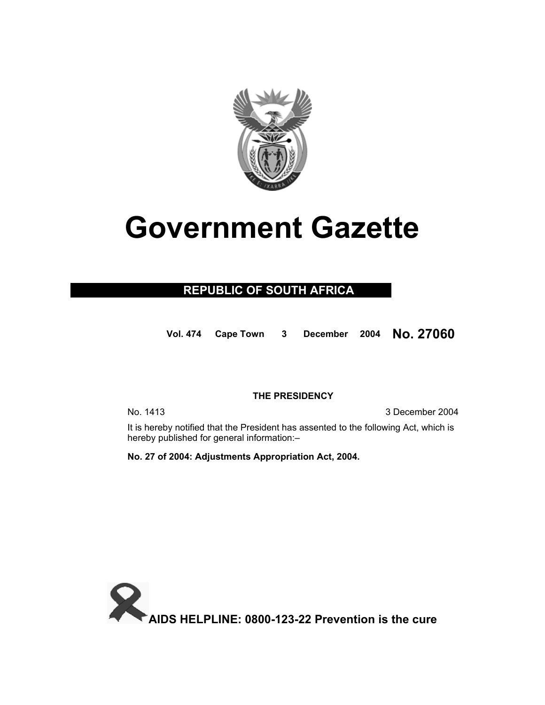

# **Government Gazette**

### **REPUBLIC OF SOUTH AFRICA**

**Vol. 474 Cape Town 3 December 2004 No. 27060**

#### **THE PRESIDENCY**

No. 1413 **3 December 2004** 

 It is hereby notified that the President has assented to the following Act, which is hereby published for general information:–

**No. 27 of 2004: Adjustments Appropriation Act, 2004.** 

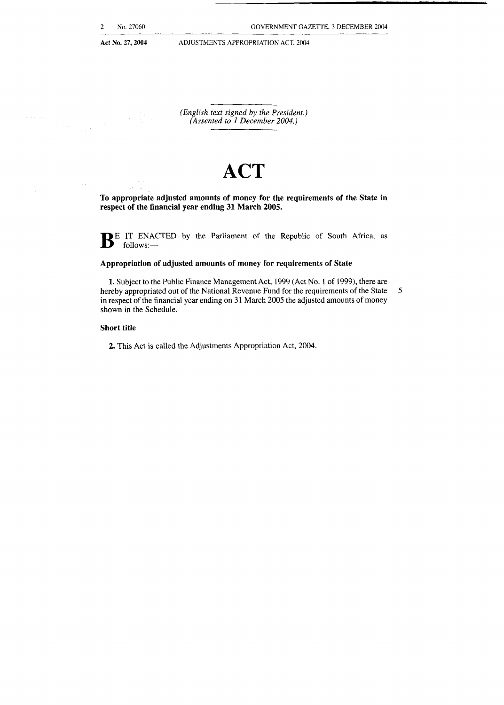$\mu$  is a  $\mu$ 

والتواز

 $\sim$   $\sim$ 

Act No. 27, 2004 **ADJUSTMENTS APPROPRIATION ACT, 2004** 

*(English text signed by the President.) (Amented to 1 December 2004.)* 

## **ACT**

**To appropriate adjusted amounts of money for the requirements of the State in respect of the financial year ending 31 March 2005.** 

**B**E IT ENACTED by the Parliament of the Republic of South Africa, as follows:-

#### **Appropriation of adjusted amounts of money for requirements of State**

**1.** Subject to the Public Finance Management Act, 1999 (Act No. I of 1999), there are hereby appropriated out of the National Revenue Fund for the requirements of the State 5 in respect of the financial year ending on **3 1** March 2005 the adjusted amounts of money shown in the Schedule.

#### **Short title**

**2.** This Act is called the Adjustments Appropriation Act, 2004.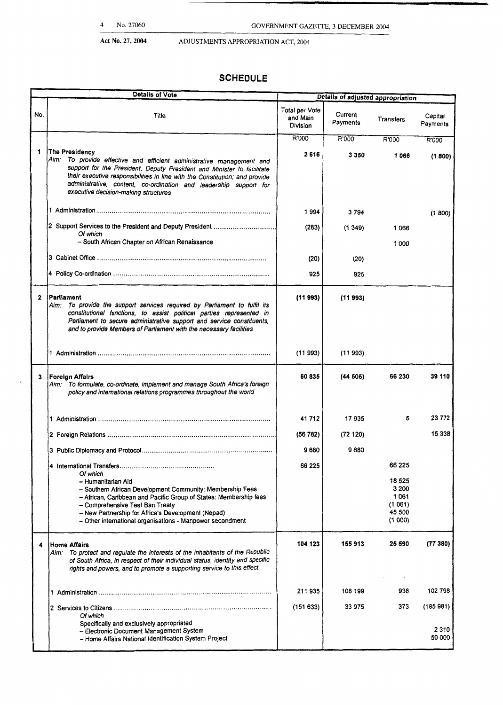## **Act No. 27,2004** ADJUSTMENTS APPROPRIATION ACT. **2004**

## **SCHEDULE**

|              | 4<br>No. 27060                                                                                                                                                                                                                                                                                                                                                |                                        | GOVERNMENT GAZETTE, 3 DECEMBER 2004 |                                                         |                     |
|--------------|---------------------------------------------------------------------------------------------------------------------------------------------------------------------------------------------------------------------------------------------------------------------------------------------------------------------------------------------------------------|----------------------------------------|-------------------------------------|---------------------------------------------------------|---------------------|
|              | Act No. 27, 2004<br>ADJUSTMENTS APPROPRIATION ACT, 2004                                                                                                                                                                                                                                                                                                       |                                        |                                     |                                                         |                     |
|              |                                                                                                                                                                                                                                                                                                                                                               |                                        |                                     |                                                         |                     |
|              | <b>SCHEDULE</b><br>Details of Vote                                                                                                                                                                                                                                                                                                                            |                                        |                                     |                                                         |                     |
|              |                                                                                                                                                                                                                                                                                                                                                               |                                        | Details of adjusted appropriation   |                                                         |                     |
| No.          | Title                                                                                                                                                                                                                                                                                                                                                         | Total per Vote<br>and Main<br>Division | Current<br>Payments                 | Transfers                                               | Capital<br>Payments |
|              |                                                                                                                                                                                                                                                                                                                                                               | R'000                                  | R'000                               | R'000                                                   | R'000               |
| 1            | The Presidency<br>Aim: To provide effective and efficient administrative management and<br>support for the President, Deputy President and Minister to facilitate<br>their executive responsibilities in line with the Constitution; and provide<br>administrative, content, co-ordination and leadership support for<br>executive decision-making structures | 2616                                   | 3 3 5 0                             | 1066                                                    | (1800)              |
|              |                                                                                                                                                                                                                                                                                                                                                               | 1994                                   | 3794                                |                                                         | (1800)              |
|              | 2 Support Services to the President and Deputy President                                                                                                                                                                                                                                                                                                      | (283)                                  | (1349)                              | 1066                                                    |                     |
|              | Of which<br>- South African Chapter on African Renaissance                                                                                                                                                                                                                                                                                                    |                                        |                                     | 1 000                                                   |                     |
|              |                                                                                                                                                                                                                                                                                                                                                               | (20)                                   | (20)                                |                                                         |                     |
|              |                                                                                                                                                                                                                                                                                                                                                               | 925                                    | 925                                 |                                                         |                     |
| $\mathbf{2}$ | Parliament<br>Aim: To provide the support services required by Parliament to fulfil its<br>constitutional functions, to assist political parties represented in<br>Parliament to secure administrative support and service constituents,<br>and to provide Members of Parliament with the necessary facilities                                                | (11993)                                | (11993)                             |                                                         |                     |
|              | 1 Administration                                                                                                                                                                                                                                                                                                                                              | (11993)                                | (11993)                             |                                                         |                     |
| 3            | <b>Foreign Affairs</b><br>Aim: To formulate, co-ordinate, implement and manage South Africa's foreign<br>policy and international relations programmes throughout the world                                                                                                                                                                                   | 60835                                  | (44505)                             | 66 230                                                  | 39 110              |
|              |                                                                                                                                                                                                                                                                                                                                                               | 41712                                  | 17935                               | 5                                                       | 23 772              |
|              |                                                                                                                                                                                                                                                                                                                                                               | (56782)                                | (72120)                             |                                                         | 15 338              |
|              |                                                                                                                                                                                                                                                                                                                                                               | 9680                                   | 9 6 8 0                             |                                                         |                     |
|              | Of which                                                                                                                                                                                                                                                                                                                                                      | 66 225                                 |                                     | 66 225                                                  |                     |
|              | - Humanitarian Aid<br>- Southern African Development Community: Membership Fees<br>- African, Caribbean and Pacific Group of States: Membership fees<br>- Comprehensive Test Ban Treaty<br>- New Partnership for Africa's Development (Nepad)<br>- Other international organisations - Manpower secondment                                                    |                                        |                                     | 18 5 25<br>3 200<br>1061<br>(1061)<br>45 500<br>(1 000) |                     |
| 4            | <b>Home Affairs</b><br>Aim: To protect and regulate the interests of the inhabitants of the Republic<br>of South Africa, in respect of their individual status, identity and specific<br>rights and powers, and to promote a supporting service to this effect                                                                                                | 104 123                                | 155913                              | 25 590                                                  | (77380)             |
|              |                                                                                                                                                                                                                                                                                                                                                               | 211 935                                | 108 199                             | 938                                                     | 102 798             |
|              | Of which                                                                                                                                                                                                                                                                                                                                                      | (151633)                               | 33 975                              | 373                                                     | (185981)            |
|              | Specifically and exclusively appropriated<br>- Electronic Document Management System<br>- Home Affairs National Identification System Project                                                                                                                                                                                                                 |                                        |                                     |                                                         | 2310<br>50 000      |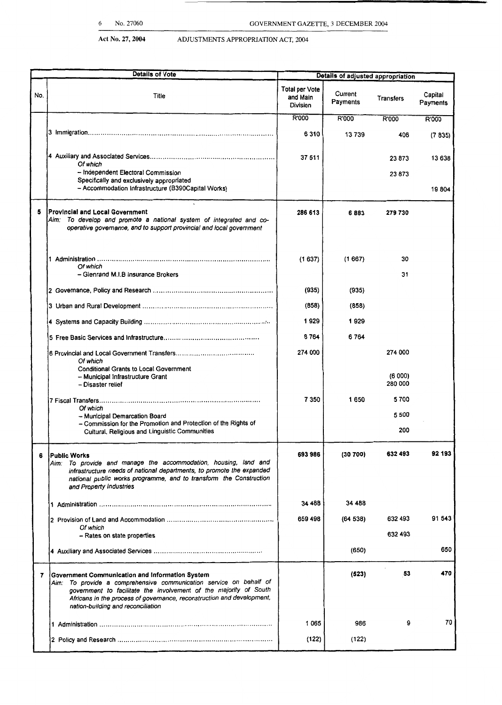**c**  ails **of** adjusted appropriation

Act No. 27, 2004 **ADJUSTMENTS APPROPRIATION ACT, 2004** 

. Details **of** Vote

| No. | Title                                                                                                                                                                                                                                                                                                      | <b>Total per Vote</b><br>and Main<br>Division | Current<br>Payments | Transfers         | Capital<br>Payments |
|-----|------------------------------------------------------------------------------------------------------------------------------------------------------------------------------------------------------------------------------------------------------------------------------------------------------------|-----------------------------------------------|---------------------|-------------------|---------------------|
|     |                                                                                                                                                                                                                                                                                                            | <b>R'000</b>                                  | R'000               | R'000             | R'000               |
|     |                                                                                                                                                                                                                                                                                                            | 6310                                          | 13739               | 406               | (7835)              |
|     |                                                                                                                                                                                                                                                                                                            | 37 511                                        |                     | 23873             | 13 638              |
|     | Of which<br>- Independent Electoral Commission                                                                                                                                                                                                                                                             |                                               |                     | 23 873            |                     |
|     | Specifically and exclusively appropriated<br>- Accommodation Infrastructure (B390Capital Works)                                                                                                                                                                                                            |                                               |                     |                   | 19804               |
| 5   | Provincial and Local Government<br>To develop and promote a national system of integrated and co-<br>Aim:<br>operative governance, and to support provincial and local government                                                                                                                          | 286 613                                       | 6883                | 279730            |                     |
|     | Of which<br>- Glenrand M.I.B Insurance Brokers                                                                                                                                                                                                                                                             | (1637)                                        | (1667)              | 30<br>31          |                     |
|     |                                                                                                                                                                                                                                                                                                            | (935)                                         | (935)               |                   |                     |
|     |                                                                                                                                                                                                                                                                                                            | (858)                                         | (858)               |                   |                     |
|     |                                                                                                                                                                                                                                                                                                            | 1929                                          | 1929                |                   |                     |
|     |                                                                                                                                                                                                                                                                                                            | 6764                                          | 6 7 64              |                   |                     |
|     | Of which                                                                                                                                                                                                                                                                                                   | 274 000                                       |                     | 274 000           |                     |
|     | Conditional Grants to Local Government<br>- Municipal Infrastructure Grant<br>- Disaster relief                                                                                                                                                                                                            |                                               |                     | (6000)<br>280 000 |                     |
|     |                                                                                                                                                                                                                                                                                                            | 7 350                                         | 1650                | 5700              |                     |
|     | Of which<br>- Municipal Demarcation Board                                                                                                                                                                                                                                                                  |                                               |                     | 5 500             |                     |
|     | - Commission for the Promotion and Protection of the Rights of<br>Cultural, Religious and Linguistic Communities                                                                                                                                                                                           |                                               |                     | 200               |                     |
| 6   | <b>IPublic Works</b><br>Aim: To provide and manage the accommodation, housing, land and<br>infrastructure needs of national departments, to promote the expanded<br>national public works programme, and to transform the Construction<br>and Property Industries                                          | 693 986                                       | (30700)             | 632 493           | 92 193              |
|     |                                                                                                                                                                                                                                                                                                            | 34 488                                        | 34 488              |                   |                     |
|     |                                                                                                                                                                                                                                                                                                            | 659 498                                       | (64538)             | 632 493           | 91 543              |
|     | Of which<br>- Rates on state properties                                                                                                                                                                                                                                                                    |                                               |                     | 632 493           |                     |
|     |                                                                                                                                                                                                                                                                                                            |                                               | (650)               |                   | 650                 |
|     |                                                                                                                                                                                                                                                                                                            |                                               |                     |                   |                     |
| 7   | Government Communication and Information System<br>Aim: To provide a comprehensive communication service on behalf of<br>government to facilitate the involvement of the majority of South<br>Africans in the process of governance, reconstruction and development,<br>nation-building and reconciliation |                                               | (523)               | 53                | 470                 |
|     |                                                                                                                                                                                                                                                                                                            | 1065                                          | 986                 | 9                 | 70                  |
|     |                                                                                                                                                                                                                                                                                                            | (122)                                         | (122)               |                   |                     |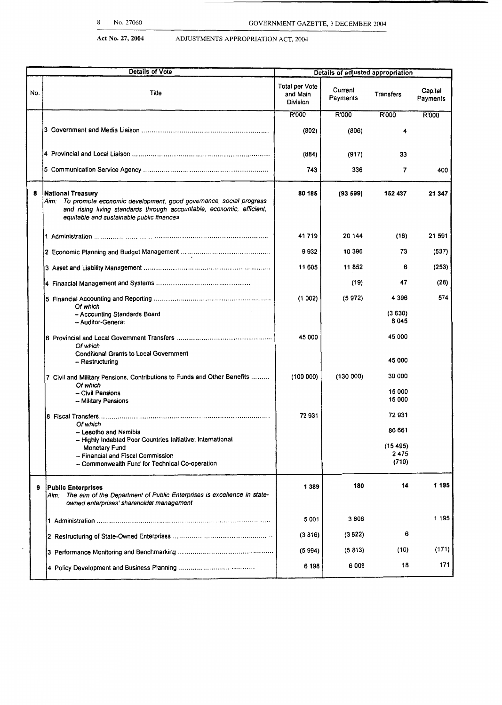| Details of Vote<br>Details of adjusted appropriation |                                                                                                                                                                                                                   |                                        |                     |                   |                     |
|------------------------------------------------------|-------------------------------------------------------------------------------------------------------------------------------------------------------------------------------------------------------------------|----------------------------------------|---------------------|-------------------|---------------------|
| No.                                                  | Title                                                                                                                                                                                                             | Total per Vote<br>and Main<br>Division | Current<br>Payments | Transfers         | Capital<br>Payments |
|                                                      |                                                                                                                                                                                                                   | R'000                                  | R'000               | R'000             | R'000               |
|                                                      |                                                                                                                                                                                                                   | (802)                                  | (806)               | 4                 |                     |
|                                                      |                                                                                                                                                                                                                   | (884)                                  | (917)               | 33                |                     |
|                                                      |                                                                                                                                                                                                                   | 743                                    | 336                 | 7                 | 400                 |
| 8                                                    | National Treasury<br>Aim: To promote economic development, good governance, social progress<br>and rising living standards through accountable, economic, efficient,<br>equitable and sustainable public finances | 80 185                                 | (9359)              | 152 437           | 21 347              |
|                                                      |                                                                                                                                                                                                                   | 41719                                  | 20 144              | (16)              | 21 591              |
|                                                      |                                                                                                                                                                                                                   | 9932                                   | 10 396              | 73                | (537)               |
|                                                      |                                                                                                                                                                                                                   | 11 605                                 | 11852               | 6                 | (253)               |
|                                                      |                                                                                                                                                                                                                   |                                        | (19)                | 47                | (28)                |
|                                                      | Of which                                                                                                                                                                                                          | (1002)                                 | (5972)              | 4 3 9 6           | 574                 |
|                                                      | - Accounting Standards Board<br>- Auditor-General                                                                                                                                                                 |                                        |                     | (3630)<br>8 0 4 5 |                     |
|                                                      | Of which                                                                                                                                                                                                          | 45 000                                 |                     | 45 000            |                     |
|                                                      | <b>Conditional Grants to Local Government</b><br>- Restructuring                                                                                                                                                  |                                        |                     | 45 000            |                     |
|                                                      | 7 Civil and Military Pensions, Contributions to Funds and Other Benefits<br>Of which                                                                                                                              | (100000)                               | (130000)            | 30 000            |                     |
|                                                      | - Civil Pensions<br>-- Military Pensions                                                                                                                                                                          |                                        |                     | 15 000<br>15 000  |                     |
|                                                      | Of which                                                                                                                                                                                                          | 72931                                  |                     | 72931             |                     |
|                                                      | - Lesotho and Namibia<br>- Highly Indebted Poor Countries Initiative: International                                                                                                                               |                                        |                     | 86 661            |                     |
|                                                      | Monetary Fund                                                                                                                                                                                                     |                                        |                     | (15495)           |                     |
|                                                      | -- Financial and Fiscal Commission                                                                                                                                                                                |                                        |                     | 2475              |                     |
|                                                      | - Commonwealth Fund for Technical Co-operation                                                                                                                                                                    |                                        |                     | (710)             |                     |
| 9                                                    | <b>Public Enterprises</b><br>Aim: The aim of the Department of Public Enterprises is excellence in state-<br>owned enterprises' shareholder management                                                            | 1 3 8 9                                | 180                 | 14                | 1 195               |
|                                                      |                                                                                                                                                                                                                   | 5 0 0 1                                | 3806                |                   | 1 1 9 5             |
|                                                      |                                                                                                                                                                                                                   | (3816)                                 | (3822)              | 6                 |                     |
|                                                      |                                                                                                                                                                                                                   | (5994)                                 | (5813)              | (10)              | (171)               |
|                                                      |                                                                                                                                                                                                                   | 6 1 9 8                                | 6009                | 18                | 171                 |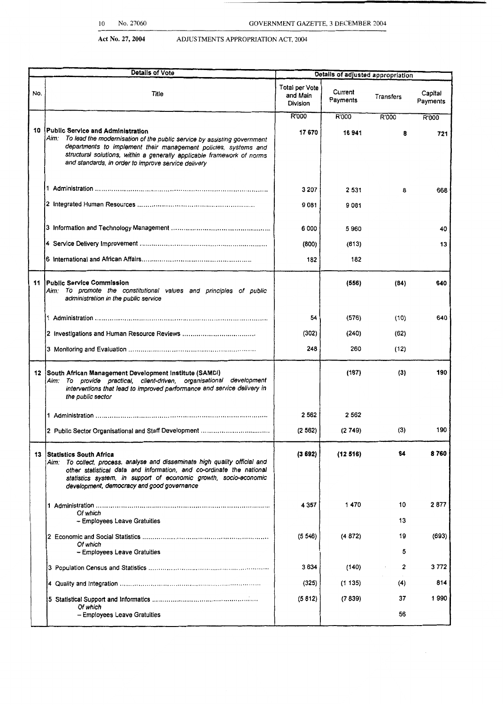|                 | Details of Vote                                                                                                                                                                                                                                                                                                          | Details of adjusted appropriation      |                     |           |                     |
|-----------------|--------------------------------------------------------------------------------------------------------------------------------------------------------------------------------------------------------------------------------------------------------------------------------------------------------------------------|----------------------------------------|---------------------|-----------|---------------------|
| No.             | Title                                                                                                                                                                                                                                                                                                                    | Total per Vote<br>and Main<br>Division | Current<br>Payments | Transfers | Capital<br>Payments |
|                 |                                                                                                                                                                                                                                                                                                                          | R'000                                  | R'000               | R'000     | R'000               |
| 10              | Public Service and Administration<br>To lead the modernisation of the public service by assisting government<br>Aim:<br>departments to implement their management policies, systems and<br>structural solutions, within a generally applicable framework of norms<br>and standards, in order to improve service delivery | 17670                                  | 16941               | 8         | 721                 |
|                 |                                                                                                                                                                                                                                                                                                                          | 3 2 0 7                                | 2 5 3 1             | 8         | 866                 |
|                 |                                                                                                                                                                                                                                                                                                                          | 9081                                   | 9081                |           |                     |
|                 |                                                                                                                                                                                                                                                                                                                          | 6 000                                  | 5 960               |           | 40                  |
|                 |                                                                                                                                                                                                                                                                                                                          | (800)                                  | (813)               |           | 13                  |
|                 |                                                                                                                                                                                                                                                                                                                          | 182                                    | 182                 |           |                     |
|                 | 11 Public Service Commission<br>Aim: To promote the constitutional values and principles of public<br>administration in the public service                                                                                                                                                                               |                                        | (556)               | (84)      | 640                 |
|                 |                                                                                                                                                                                                                                                                                                                          | 54                                     | (576)               | (10)      | 640                 |
|                 |                                                                                                                                                                                                                                                                                                                          | (302)                                  | (240)               | (62)      |                     |
|                 |                                                                                                                                                                                                                                                                                                                          | 248                                    | 260                 | (12)      |                     |
| 12 <sup>1</sup> | South African Management Development Institute (SAMDI)<br>Aim: To provide practical, client-driven, organisational development<br>interventions that lead to improved performance and service delivery in<br>the public sector                                                                                           |                                        | (187)               | (3)       | 190                 |
|                 |                                                                                                                                                                                                                                                                                                                          | 2 5 6 2                                | 2 5 6 2             |           |                     |
|                 | 2 Public Sector Organisational and Staff Development                                                                                                                                                                                                                                                                     | (2562)                                 | (2749)              | (3)       | 190                 |
| 13              | <b>Statistics South Africa</b><br>Aim: To collect, process, analyse and disseminate high quality official and<br>other statistical data and information, and co-ordinate the national<br>statistics system, in support of economic growth, socio-economic<br>development, democracy and good governance                  | (3692)                                 | (12516)             | 64        | 8760                |
|                 | Of which                                                                                                                                                                                                                                                                                                                 | 4 357                                  | 1470                | 10<br>13  | 2877                |
|                 | - Employees Leave Gratuities                                                                                                                                                                                                                                                                                             |                                        |                     |           |                     |
|                 | Of which<br>- Employees Leave Gratuities                                                                                                                                                                                                                                                                                 | (5546)                                 | (4 872)             | 19<br>5   | (693)               |
|                 |                                                                                                                                                                                                                                                                                                                          | 3 634                                  | (140)               | 2         | 3 772               |
|                 |                                                                                                                                                                                                                                                                                                                          |                                        | (1 135)             | (4)       | 814                 |
|                 |                                                                                                                                                                                                                                                                                                                          | (325)                                  |                     |           |                     |
|                 | Of which<br>- Employees Leave Gratuities                                                                                                                                                                                                                                                                                 | (5812)                                 | (7839)              | 37<br>56  | 1990                |
|                 |                                                                                                                                                                                                                                                                                                                          |                                        |                     |           |                     |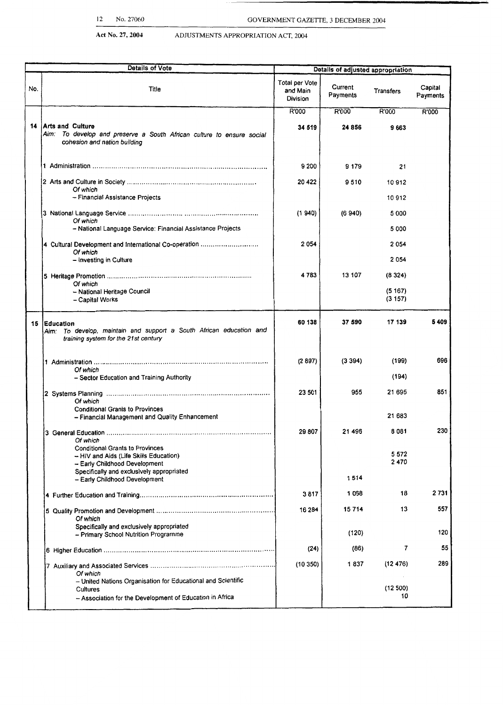| <b>Details of Vote</b> |                                                                                                                                                                 |                                        | Details of adjusted appropriation |                  |                     |
|------------------------|-----------------------------------------------------------------------------------------------------------------------------------------------------------------|----------------------------------------|-----------------------------------|------------------|---------------------|
| No.                    | Title                                                                                                                                                           | Total per Vote<br>and Main<br>Division | Current<br>Payments               | Transfers        | Capital<br>Payments |
|                        |                                                                                                                                                                 | R'000                                  | R'000                             | R'000            | R'000               |
| 14                     | <b>Arts and Culture</b><br>Aim: To develop and preserve a South African culture to ensure social<br>cohesion and nation building                                | 34 519                                 | 24 856                            | 9663             |                     |
|                        |                                                                                                                                                                 | 9 200                                  | 9 179                             | 21               |                     |
|                        | Of which<br>- Financial Assistance Projects                                                                                                                     | 20 422                                 | 9510                              | 10912<br>10 912  |                     |
|                        |                                                                                                                                                                 |                                        |                                   |                  |                     |
|                        | Of which<br>- National Language Service: Financial Assistance Projects                                                                                          | (1940)                                 | (6940)                            | 5 000<br>5 000   |                     |
|                        | 4 Cultural Development and International Co-operation<br>Of which                                                                                               | 2 0 5 4                                |                                   | 2054             |                     |
|                        | - Investing in Culture                                                                                                                                          |                                        |                                   | 2054             |                     |
|                        | Of which                                                                                                                                                        | 4783                                   | 13 107                            | (8324)           |                     |
|                        | - National Heritage Council<br>- Capital Works                                                                                                                  |                                        |                                   | (5167)<br>(3157) |                     |
| 15                     | <b>Education</b><br>Aim: To develop, maintain and support a South African education and<br>training system for the 21st century                                 | 60 138                                 | 37 590                            | 17 139           | 5409                |
|                        | Of which<br>- Sector Education and Training Authority                                                                                                           | (2897)                                 | (3394)                            | (199)<br>(194)   | 696                 |
|                        | Of which                                                                                                                                                        | 23 501                                 | 955                               | 21 695           | 851                 |
|                        | <b>Conditional Grants to Provinces</b><br>- Financial Management and Quality Enhancement                                                                        |                                        |                                   | 21 683           |                     |
|                        | Of which                                                                                                                                                        | 29 807                                 | 21 496                            | 8081             | 230                 |
|                        | <b>Conditional Grants to Provinces</b><br>- HIV and Aids (Life Skills Education)<br>-- Early Childhood Development<br>Specifically and exclusively appropriated |                                        |                                   | 5 5 7 2<br>2470  |                     |
|                        | - Early Childhood Development                                                                                                                                   |                                        | 1514                              |                  |                     |
|                        |                                                                                                                                                                 | 3817                                   | 1068                              | 18               | 2731                |
|                        | Of which                                                                                                                                                        | 16 284                                 | 15714                             | 13               | 557                 |
|                        | Specifically and exclusively appropriated<br>- Primary School Nutrition Programme                                                                               |                                        | (120)                             |                  | 120                 |
|                        |                                                                                                                                                                 | (24)                                   | (86)                              | 7                | 55                  |
|                        | Of which                                                                                                                                                        | (10350)                                | 1837                              | (12 476)         | 289                 |
|                        | - United Nations Organisation for Educational and Scientific<br>Cultures<br>- Association for the Development of Education in Africa                            |                                        |                                   | (12 500)<br>10   |                     |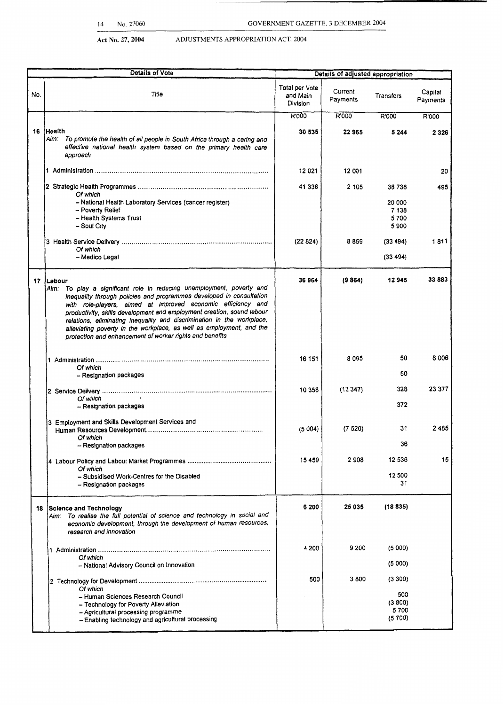| <b>Details of Vote</b> |                                                                                                                                                                                                                                                                                                                                                                                                                                                                                                                       |                                        | Details of adjusted appropriation |                                   |                     |
|------------------------|-----------------------------------------------------------------------------------------------------------------------------------------------------------------------------------------------------------------------------------------------------------------------------------------------------------------------------------------------------------------------------------------------------------------------------------------------------------------------------------------------------------------------|----------------------------------------|-----------------------------------|-----------------------------------|---------------------|
| No.                    | Title                                                                                                                                                                                                                                                                                                                                                                                                                                                                                                                 | Total per Vote<br>and Main<br>Division | Current<br>Payments               | <b>Transfers</b>                  | Capital<br>Payments |
|                        |                                                                                                                                                                                                                                                                                                                                                                                                                                                                                                                       | R'000                                  | R'000                             | R'000                             | R'000               |
|                        | 16 Health<br>To promote the health of all people in South Africa through a caring and<br>Aim:<br>effective national health system based on the primary health care<br>approach                                                                                                                                                                                                                                                                                                                                        | 30 535                                 | 22965                             | 5 2 4 4                           | 2 3 2 6             |
|                        |                                                                                                                                                                                                                                                                                                                                                                                                                                                                                                                       | 12 0 21                                | 12 001                            |                                   | 20                  |
|                        | Of which                                                                                                                                                                                                                                                                                                                                                                                                                                                                                                              | 41 338                                 | 2 1 0 5                           | 38738                             | 495                 |
|                        | - National Health Laboratory Services (cancer register)<br>- Poverty Relief<br>- Health Systems Trust<br>- Soul City                                                                                                                                                                                                                                                                                                                                                                                                  |                                        |                                   | 20 000<br>7 1 3 8<br>5700<br>5900 |                     |
|                        | Of which<br>- Medico Legal                                                                                                                                                                                                                                                                                                                                                                                                                                                                                            | (22824)                                | 8859                              | (33, 494)<br>(33 494)             | 1811                |
|                        | 17 Labour<br>To play a significant role in reducing unemployment, poverty and<br>Aim:<br>inequality through policies and programmes developed in consultation<br>with role-players, aimed at improved economic efficiency and<br>productivity, skills development and employment creation, sound labour<br>relations, eliminating inequality and discrimination in the workplace,<br>alleviating poverty in the workplace, as well as employment, and the<br>protection and enhancement of worker rights and benefits | 36964                                  | (9864)                            | 12945                             | 33883               |
|                        | Of which<br>- Resignation packages                                                                                                                                                                                                                                                                                                                                                                                                                                                                                    | 16 151                                 | 8095                              | 50<br>50                          | 8006                |
|                        | Of which<br>- Resignation packages                                                                                                                                                                                                                                                                                                                                                                                                                                                                                    | 10 358                                 | (13347)                           | 328<br>372                        | 23 377              |
|                        | 3 Employment and Skills Development Services and<br>Of which<br>- Resignation packages                                                                                                                                                                                                                                                                                                                                                                                                                                | (5004)                                 | (7520)                            | 31<br>36                          | 2485                |
|                        | Of which<br>- Subsidised Work-Centres for the Disabled<br>- Resignation packages                                                                                                                                                                                                                                                                                                                                                                                                                                      | 15 459                                 | 2908                              | 12 536<br>12 500<br>31            | 15                  |
| 18                     | Science and Technology<br>Aim: To realise the full potential of science and technology in social and<br>economic development, through the development of human resources,                                                                                                                                                                                                                                                                                                                                             | 6 200                                  | 25 035                            | (18835)                           |                     |
|                        | research and innovation                                                                                                                                                                                                                                                                                                                                                                                                                                                                                               |                                        |                                   |                                   |                     |
|                        | Of which<br>- National Advisory Council on Innovation                                                                                                                                                                                                                                                                                                                                                                                                                                                                 | 4 200                                  | 9 200                             | (5 000)<br>(5000)                 |                     |
|                        |                                                                                                                                                                                                                                                                                                                                                                                                                                                                                                                       | 500                                    | 3800                              | (3300)                            |                     |
|                        | Of which<br>- Human Sciences Research Council<br>- Technology for Poverty Alleviation<br>- Agricultural processing programme<br>- Enabling technology and agricultural processing                                                                                                                                                                                                                                                                                                                                     |                                        |                                   | 500<br>(3800)<br>5700<br>(5700)   |                     |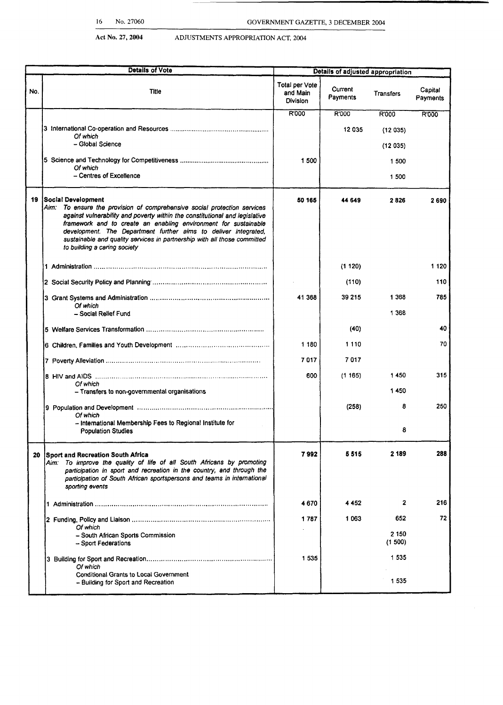|     | <b>Details of Vote</b>                                                                                                                                                                                                                                                                                                                                                                                                          |                                               | Details of adjusted appropriation |                 |                     |
|-----|---------------------------------------------------------------------------------------------------------------------------------------------------------------------------------------------------------------------------------------------------------------------------------------------------------------------------------------------------------------------------------------------------------------------------------|-----------------------------------------------|-----------------------------------|-----------------|---------------------|
| No. | <b>Title</b>                                                                                                                                                                                                                                                                                                                                                                                                                    | Total per Vote<br>and Main<br><b>Division</b> | Current<br>Payments               | Transfers       | Capital<br>Payments |
|     |                                                                                                                                                                                                                                                                                                                                                                                                                                 | R'000                                         | R'000                             | R'000           | <b>R'000</b>        |
|     |                                                                                                                                                                                                                                                                                                                                                                                                                                 |                                               | 12 035                            | (12035)         |                     |
|     | Of which<br>- Global Science                                                                                                                                                                                                                                                                                                                                                                                                    |                                               |                                   | (12035)         |                     |
|     |                                                                                                                                                                                                                                                                                                                                                                                                                                 | 1 500                                         |                                   | 1 500           |                     |
|     | Of which<br>- Centres of Excellence                                                                                                                                                                                                                                                                                                                                                                                             |                                               |                                   | 1 500           |                     |
|     |                                                                                                                                                                                                                                                                                                                                                                                                                                 |                                               |                                   |                 |                     |
| 19  | Social Development<br>Aim: To ensure the provision of comprehensive social protection services<br>against vulnerability and poverty within the constitutional and legislative<br>framework and to create an enabling environment for sustainable<br>development. The Department further aims to deliver integrated,<br>sustainable and quality services in partnership with all those committed<br>to building a caring society | 50 165                                        | 44 649                            | 2826            | 2690                |
|     |                                                                                                                                                                                                                                                                                                                                                                                                                                 |                                               | (1120)                            |                 | 1 120               |
|     |                                                                                                                                                                                                                                                                                                                                                                                                                                 |                                               | (110)                             |                 | 110                 |
|     |                                                                                                                                                                                                                                                                                                                                                                                                                                 | 41 368                                        | 39 215                            | 1 3 6 8         | 785                 |
|     | Of which<br>- Social Relief Fund                                                                                                                                                                                                                                                                                                                                                                                                |                                               |                                   | 1 3 6 8         |                     |
|     |                                                                                                                                                                                                                                                                                                                                                                                                                                 |                                               | (40)                              |                 | 40                  |
|     |                                                                                                                                                                                                                                                                                                                                                                                                                                 | 1 180                                         | 1 1 1 0                           |                 | 70                  |
|     |                                                                                                                                                                                                                                                                                                                                                                                                                                 | 7017                                          | 7017                              |                 |                     |
|     |                                                                                                                                                                                                                                                                                                                                                                                                                                 | 600                                           | (1165)                            | 1450            | 315                 |
|     | Of which                                                                                                                                                                                                                                                                                                                                                                                                                        |                                               |                                   |                 |                     |
|     | - Transfers to non-governmental organisations                                                                                                                                                                                                                                                                                                                                                                                   |                                               |                                   | 1450            |                     |
|     | Of which                                                                                                                                                                                                                                                                                                                                                                                                                        |                                               | (258)                             | 8               | 250                 |
|     | - International Membership Fees to Regional Institute for<br><b>Population Studies</b>                                                                                                                                                                                                                                                                                                                                          |                                               |                                   | 8               |                     |
| 20  | <b>Sport and Recreation South Africa</b><br>Aim: To improve the quality of life of all South Africans by promoting<br>participation in sport and recreation in the country, and through the<br>participation of South African sportspersons and teams in international<br>sporting events                                                                                                                                       | 7992                                          | 5 5 1 5                           | 2 1 8 9         | 288                 |
|     |                                                                                                                                                                                                                                                                                                                                                                                                                                 | 4 670                                         | 4452                              | $\mathbf{2}$    | 216                 |
|     |                                                                                                                                                                                                                                                                                                                                                                                                                                 | 1 787                                         | 1063                              | 652             | 72                  |
|     | Of which<br>- South African Sports Commission<br>- Sport Federations                                                                                                                                                                                                                                                                                                                                                            |                                               |                                   | 2 150<br>(1500) |                     |
|     | Of which                                                                                                                                                                                                                                                                                                                                                                                                                        | 1535                                          |                                   | 1535            |                     |
|     | <b>Conditional Grants to Local Government</b><br>- Building for Sport and Recreation                                                                                                                                                                                                                                                                                                                                            |                                               |                                   | 1535            |                     |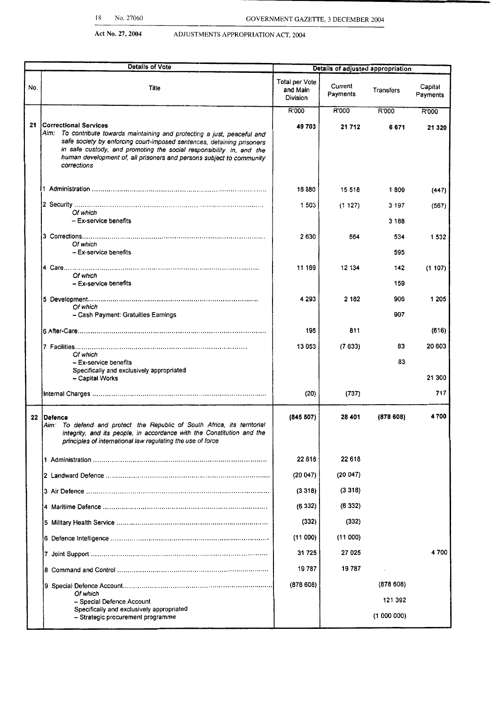| <b>Details of Vote</b><br>Details of adjusted appropriation |                                                                                                                                                                                                                                                                                                                                              |                                               |                     |                    |                     |
|-------------------------------------------------------------|----------------------------------------------------------------------------------------------------------------------------------------------------------------------------------------------------------------------------------------------------------------------------------------------------------------------------------------------|-----------------------------------------------|---------------------|--------------------|---------------------|
| No.                                                         | Title                                                                                                                                                                                                                                                                                                                                        | Total per Vote<br>and Main<br><b>Division</b> | Current<br>Payments | Transfers          | Capital<br>Payments |
|                                                             |                                                                                                                                                                                                                                                                                                                                              | R'000                                         | R'000               | R'000              | R'000               |
| 21                                                          | Correctional Services<br>Aim: To contribute towards maintaining and protecting a just, peaceful and<br>safe society by enforcing court-imposed sentences, detaining prisoners<br>in safe custody, and promoting the social responsibility in, and the<br>human development of, all prisoners and persons subject to community<br>corrections | 49703                                         | 21 712              | 6671               | 21 320              |
|                                                             |                                                                                                                                                                                                                                                                                                                                              | 16880                                         | 15 518              | 1809               | (447)               |
|                                                             | Of which<br>$-$ Ex-service benefits                                                                                                                                                                                                                                                                                                          | 1 503                                         | (1127)              | 3 1 9 7<br>3 1 8 8 | (567)               |
|                                                             | Of which<br>$-$ Ex-service benefits                                                                                                                                                                                                                                                                                                          | 2630                                          | 564                 | 534<br>595         | 1 5 3 2             |
|                                                             | Of which<br>- Ex-service benefits                                                                                                                                                                                                                                                                                                            | 11 169                                        | 12 134              | 142<br>159         | (1107)              |
|                                                             | Of which                                                                                                                                                                                                                                                                                                                                     | 4 2 9 3                                       | 2 182               | 906<br>907         | 1 2 0 5             |
|                                                             | - Cash Payment: Gratuities Earnings                                                                                                                                                                                                                                                                                                          |                                               |                     |                    |                     |
|                                                             |                                                                                                                                                                                                                                                                                                                                              | 195                                           | 811                 |                    | (616)               |
|                                                             | Of which                                                                                                                                                                                                                                                                                                                                     | 13 053                                        | (7633)              | 83                 | 20 603              |
|                                                             | - Ex-service benefits<br>Specifically and exclusively appropriated                                                                                                                                                                                                                                                                           |                                               |                     | 83                 |                     |
|                                                             | - Capital Works                                                                                                                                                                                                                                                                                                                              |                                               |                     |                    | 21 300              |
|                                                             |                                                                                                                                                                                                                                                                                                                                              | (20)                                          | (737)               |                    | 717                 |
|                                                             | 22 Defence<br>Aim: To defend and protect the Republic of South Africa, its territorial<br>integrity, and its people, in accordance with the Constitution and the<br>principles of international law regulating the use of force                                                                                                              | (845 507)                                     | 28 401              | (878608)           | 4700                |
|                                                             |                                                                                                                                                                                                                                                                                                                                              | 22 618                                        | 22 618              |                    |                     |
|                                                             |                                                                                                                                                                                                                                                                                                                                              | (20047)                                       | (20047)             |                    |                     |
|                                                             |                                                                                                                                                                                                                                                                                                                                              | (3318)                                        | (3318)              |                    |                     |
|                                                             |                                                                                                                                                                                                                                                                                                                                              | (6332)                                        | (6332)              |                    |                     |
|                                                             |                                                                                                                                                                                                                                                                                                                                              | (332)                                         | (332)               |                    |                     |
|                                                             |                                                                                                                                                                                                                                                                                                                                              | (11000)                                       | (11000)             |                    |                     |
|                                                             |                                                                                                                                                                                                                                                                                                                                              | 31 725                                        | 27 025              |                    | 4700                |
|                                                             |                                                                                                                                                                                                                                                                                                                                              | 19787                                         | 19787               |                    |                     |
|                                                             | Of which                                                                                                                                                                                                                                                                                                                                     | (878608)                                      |                     | (878608)           |                     |
|                                                             | - Special Defence Account<br>Specifically and exclusively appropriated                                                                                                                                                                                                                                                                       |                                               |                     | 121 392            |                     |
|                                                             | - Strategic procurement programme                                                                                                                                                                                                                                                                                                            |                                               |                     | (1000000)          |                     |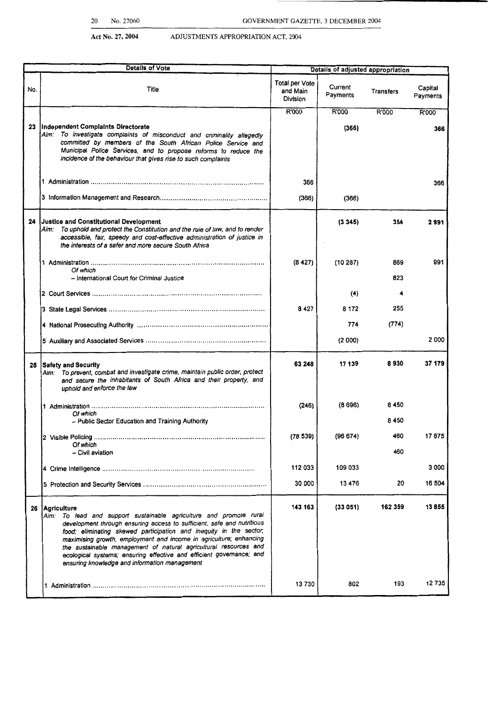|     | <b>Details of Vote</b>                                                                                                                                                                                                                                                                                                                                                                                                                                                                                    | Details of adjusted appropriation             |                     |                  |                     |
|-----|-----------------------------------------------------------------------------------------------------------------------------------------------------------------------------------------------------------------------------------------------------------------------------------------------------------------------------------------------------------------------------------------------------------------------------------------------------------------------------------------------------------|-----------------------------------------------|---------------------|------------------|---------------------|
| No. | Title                                                                                                                                                                                                                                                                                                                                                                                                                                                                                                     | <b>Total per Vote</b><br>and Main<br>Division | Current<br>Payments | <b>Transfers</b> | Capital<br>Payments |
| 23  | Independent Complaints Directorate<br>Aim: To investigate complaints of misconduct and criminality allegedly<br>committed by members of the South African Police Service and<br>Municipal Police Services, and to propose reforms to reduce the<br>incidence of the behaviour that gives rise to such complaints                                                                                                                                                                                          | R'000                                         | R'000<br>(366)      | R'000            | R'000<br>366        |
|     |                                                                                                                                                                                                                                                                                                                                                                                                                                                                                                           | 366<br>(366)                                  | (366)               |                  | 366                 |
|     | 24 Justice and Constitutional Development<br>To uphold and protect the Constitution and the rule of law, and to render<br>Aim:<br>accessible, fair, speedy and cost-effective administration of justice in<br>the interests of a safer and more secure South Africa                                                                                                                                                                                                                                       |                                               | (3345)              | 354              | 2991                |
|     | Of which<br>- International Court for Criminal Justice                                                                                                                                                                                                                                                                                                                                                                                                                                                    | (8427)                                        | (10287)             | 869<br>823       | 991                 |
|     |                                                                                                                                                                                                                                                                                                                                                                                                                                                                                                           |                                               | (4)                 | 4                |                     |
|     |                                                                                                                                                                                                                                                                                                                                                                                                                                                                                                           | 8 427                                         | 8 1 7 2             | 255              |                     |
|     |                                                                                                                                                                                                                                                                                                                                                                                                                                                                                                           |                                               | 774                 | (774)            |                     |
|     |                                                                                                                                                                                                                                                                                                                                                                                                                                                                                                           |                                               | (2 000)             |                  | 2000                |
| 25  | <b>Safety and Security</b><br>Aim: To prevent, combat and investigate crime, maintain public order, protect<br>and secure the inhabitants of South Africa and their property, and<br>uphold and enforce the law                                                                                                                                                                                                                                                                                           | 63 248                                        | 17 139              | 8930             | 37 179              |
|     | Of which<br>- Public Sector Education and Training Authority                                                                                                                                                                                                                                                                                                                                                                                                                                              | (246)                                         | (8696)              | 8450<br>8 4 5 0  |                     |
|     | Of which<br>- Civil aviation                                                                                                                                                                                                                                                                                                                                                                                                                                                                              | (78539)                                       | (96674)             | 460<br>460       | 17675               |
|     |                                                                                                                                                                                                                                                                                                                                                                                                                                                                                                           | 112 033                                       | 109 033             |                  | 3 000               |
|     |                                                                                                                                                                                                                                                                                                                                                                                                                                                                                                           | 30 000                                        | 13476               | 20               | 16 504              |
|     | 26   Agriculture<br>Aim: To lead and support sustainable agriculture and promote rural<br>development through ensuring access to sufficient, safe and nutritious<br>food; eliminating skewed participation and inequity in the sector;<br>maximising growth, employment and income in agriculture; enhancing<br>the sustainable management of natural agricultural resources and<br>ecological systems; ensuring effective and efficient governance; and<br>ensuring knowledge and information management | 143 163                                       | (33051)             | 162 359          | 13855               |
|     |                                                                                                                                                                                                                                                                                                                                                                                                                                                                                                           | 13730                                         | 802                 | 193              | 12735               |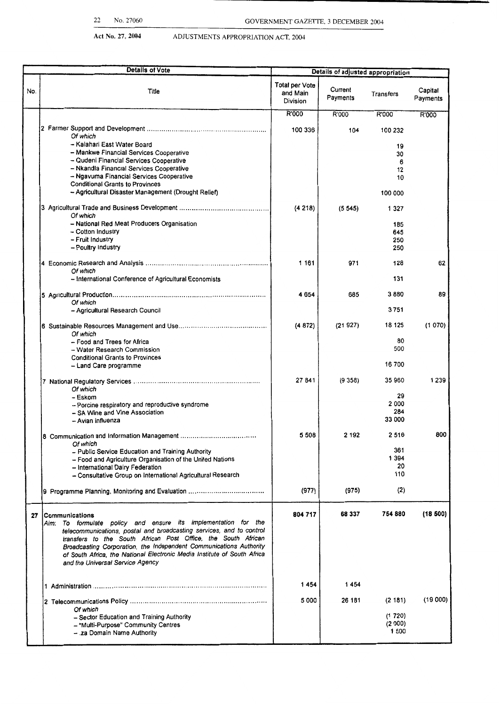|     | <b>Details of Vote</b>                                                                                                                |                                               | Details of adjusted appropriation |                 |                     |  |
|-----|---------------------------------------------------------------------------------------------------------------------------------------|-----------------------------------------------|-----------------------------------|-----------------|---------------------|--|
| No. | Title                                                                                                                                 | <b>Total per Vote</b><br>and Main<br>Division | Current<br>Payments               | Transfers       | Capital<br>Payments |  |
|     |                                                                                                                                       | R'000                                         | R'000                             | R'000           | R'000               |  |
|     | Of which                                                                                                                              | 100 336                                       | 104                               | 100 232         |                     |  |
|     | - Kalahari East Water Board                                                                                                           |                                               |                                   | 19              |                     |  |
|     | - Mankwe Financial Services Cooperative<br>- Qudeni Financial Services Cooperative                                                    |                                               |                                   | 30<br>6         |                     |  |
|     | - Nkandla Financial Services Cooperative                                                                                              |                                               |                                   | 12              |                     |  |
|     | - Ngavuma Financial Services Cooperative<br><b>Conditional Grants to Provinces</b>                                                    |                                               |                                   | 10              |                     |  |
|     | - Agricultural Disaster Management (Drought Relief)                                                                                   |                                               |                                   | 100 000         |                     |  |
|     | Of which                                                                                                                              | (4218)                                        | (5545)                            | 1 3 2 7         |                     |  |
|     | - National Red Meat Producers Organisation                                                                                            |                                               |                                   | 185             |                     |  |
|     | - Cotton Industry<br>-- Fruit Industry                                                                                                |                                               |                                   | 645<br>250      |                     |  |
|     | - Poultry Industry                                                                                                                    |                                               |                                   | 250             |                     |  |
|     | Of which                                                                                                                              | 1 1 6 1                                       | 971                               | 128             | 62                  |  |
|     | - International Conference of Agricultural Economists                                                                                 |                                               |                                   | 131             |                     |  |
|     | Of which                                                                                                                              | 4654                                          | 685                               | 3880            | 89                  |  |
|     | - Agricultural Research Council                                                                                                       |                                               |                                   | 3751            |                     |  |
|     | Of which                                                                                                                              | (4872)                                        | (21927)                           | 18 125          | (1 070)             |  |
|     | - Food and Trees for Africa                                                                                                           |                                               |                                   | 80              |                     |  |
|     | - Water Research Commission<br><b>Conditional Grants to Provinces</b>                                                                 |                                               |                                   | 500             |                     |  |
|     | - Land Care programme                                                                                                                 |                                               |                                   | 16 700          |                     |  |
|     | Of which                                                                                                                              | 27 841                                        | (9358)                            | 35 960          | 1 2 3 9             |  |
|     | – Eskom<br>- Porcine respiratory and reproductive syndrome                                                                            |                                               |                                   | 29<br>2000      |                     |  |
|     | - SA Wine and Vine Association                                                                                                        |                                               |                                   | 284             |                     |  |
|     | - Avian influenza                                                                                                                     |                                               |                                   | 33 000          |                     |  |
|     | Of which                                                                                                                              | 5508                                          | 2 192                             | 2516            | 800                 |  |
|     | - Public Service Education and Training Authority                                                                                     |                                               |                                   | 361<br>1 3 9 4  |                     |  |
|     | - Food and Agriculture Organisation of the United Nations<br>- International Dairy Federation                                         |                                               |                                   | 20              |                     |  |
|     | - Consultative Group on International Agricultural Research                                                                           |                                               |                                   | 110             |                     |  |
|     |                                                                                                                                       | (977)                                         | (975)                             | (2)             |                     |  |
| 27  | Communications                                                                                                                        | 804 717                                       | 68 337                            | 754 880         | (18 500)            |  |
|     | Aim: To formulate policy and ensure its implementation for the                                                                        |                                               |                                   |                 |                     |  |
|     | telecommunications, postal and broadcasting services, and to control<br>transfers to the South African Post Office, the South African |                                               |                                   |                 |                     |  |
|     | Broadcasting Corporation, the Independent Communications Authority                                                                    |                                               |                                   |                 |                     |  |
|     | of South Africa, the National Electronic Media Institute of South Africa<br>and the Universal Service Agency                          |                                               |                                   |                 |                     |  |
|     |                                                                                                                                       |                                               |                                   |                 |                     |  |
|     |                                                                                                                                       | 1454                                          | 1454                              |                 |                     |  |
|     |                                                                                                                                       | 5 0 0 0                                       | 26 181                            | (2181)          | (19000)             |  |
|     | Of which<br>- Sector Education and Training Authority                                                                                 |                                               |                                   | (1720)          |                     |  |
|     | - "Multi-Purpose" Community Centres                                                                                                   |                                               |                                   | (2000)<br>1 500 |                     |  |
|     | - za Domain Name Authority                                                                                                            |                                               |                                   |                 |                     |  |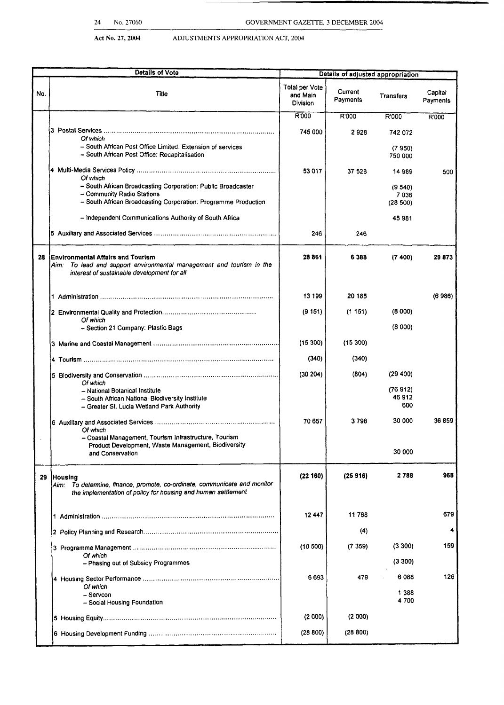|     | 24<br>No. 27060                                                                                                                                                          |                                               |                                   |                              |                     |
|-----|--------------------------------------------------------------------------------------------------------------------------------------------------------------------------|-----------------------------------------------|-----------------------------------|------------------------------|---------------------|
|     |                                                                                                                                                                          | GOVERNMENT GAZETTE, 3 DECEMBER 2004           |                                   |                              |                     |
|     | Act No. 27, 2004<br>ADJUSTMENTS APPROPRIATION ACT, 2004                                                                                                                  |                                               |                                   |                              |                     |
|     | <b>Details of Vote</b>                                                                                                                                                   |                                               | Details of adjusted appropriation |                              |                     |
| No. | <b>Title</b>                                                                                                                                                             | Total per Vote<br>and Main<br><b>Division</b> | Current<br>Payments               | Transfers                    | Capital<br>Payments |
|     |                                                                                                                                                                          | R'000                                         | R'000                             | R'000                        | R'000               |
|     | Of which<br>- South African Post Office Limited: Extension of services<br>- South African Post Office: Recapitalisation                                                  | 745 000                                       | 2928                              | 742 072<br>(7950)<br>750 000 |                     |
|     |                                                                                                                                                                          | 53 017                                        | 37 528                            | 14989                        | 500                 |
|     | Of which<br>- South African Broadcasting Corporation: Public Broadcaster<br>- Community Radio Stations<br>- South African Broadcasting Corporation: Programme Production |                                               |                                   | (9540)<br>7036<br>(28 500)   |                     |
|     | - Independent Communications Authority of South Africa                                                                                                                   |                                               |                                   | 45981                        |                     |
|     |                                                                                                                                                                          | 246                                           | 246                               |                              |                     |
| 28  | Environmental Affairs and Tourism<br>Aim: To lead and support environmental management and tourism in the<br>interest of sustainable development for all                 | 28861                                         | 6388                              | (7400)                       | 29873               |
|     |                                                                                                                                                                          | 13 199                                        | 20 185                            |                              | (6986)              |
|     |                                                                                                                                                                          | (9151)                                        | (1151)                            | (8000)                       |                     |
|     | Of which<br>- Section 21 Company: Plastic Bags                                                                                                                           |                                               |                                   | (8000)                       |                     |
|     |                                                                                                                                                                          | (15 300)                                      | (15300)                           |                              |                     |
|     |                                                                                                                                                                          | (340)                                         | (340)                             |                              |                     |
|     |                                                                                                                                                                          | (30204)                                       | (804)                             | (29 400)                     |                     |
|     | Of which<br>- National Botanical Institute<br>- South African National Biodiversity Institute<br>- Greater St. Lucia Wetland Park Authority                              |                                               |                                   | (76912)<br>46912<br>600      |                     |
|     | Of which<br>- Coastal Management, Tourism Infrastructure, Tourism                                                                                                        | 70 657                                        | 3798                              | 30 000                       | 36 859              |
|     | Product Development, Waste Management, Biodiversity<br>and Conservation                                                                                                  |                                               |                                   | 30 000                       |                     |
|     | 29 Housing<br>To determine, finance, promote, co-ordinate, communicate and monitor<br>Aim:<br>the implementation of policy for housing and human settlement              | (22160)                                       | (25916)                           | 2788                         | 968                 |
|     |                                                                                                                                                                          | 12447                                         | 11768                             |                              | 679                 |
|     |                                                                                                                                                                          |                                               | (4)                               |                              | 4                   |
|     | Of which                                                                                                                                                                 | (10 500)                                      | (7359)                            | (3300)                       | 159                 |
|     | - Phasing out of Subsidy Programmes                                                                                                                                      |                                               |                                   | (3300)                       |                     |
|     | Of which                                                                                                                                                                 | 6693                                          | 479                               | 6088                         | 126                 |
|     | - Servcon<br>- Social Housing Foundation                                                                                                                                 |                                               |                                   | 1 3 8 8<br>4 700             |                     |
|     |                                                                                                                                                                          | (2000)                                        | (2000)                            |                              |                     |
|     |                                                                                                                                                                          | (28 800)                                      | (28 800)                          |                              |                     |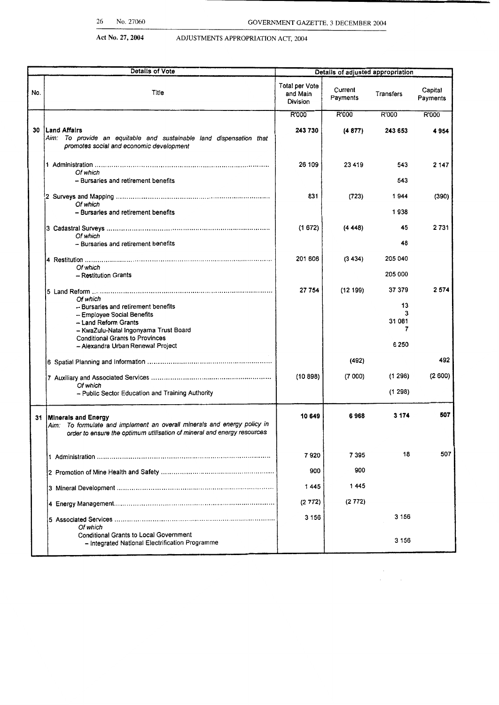**Act No. 27, 2004 ADD** 

 $\label{eq:2.1} \frac{1}{2} \sum_{i=1}^n \frac{1}{2} \sum_{j=1}^n \frac{1}{2} \sum_{j=1}^n \frac{1}{2} \sum_{j=1}^n \frac{1}{2} \sum_{j=1}^n \frac{1}{2} \sum_{j=1}^n \frac{1}{2} \sum_{j=1}^n \frac{1}{2} \sum_{j=1}^n \frac{1}{2} \sum_{j=1}^n \frac{1}{2} \sum_{j=1}^n \frac{1}{2} \sum_{j=1}^n \frac{1}{2} \sum_{j=1}^n \frac{1}{2} \sum_{j=1}^n \frac{$ 

|  | ADJUSTMENTS APPROPRIATION ACT, 2004 |  |
|--|-------------------------------------|--|
|--|-------------------------------------|--|

| <b>Details of Vote</b> |                                                                                                                                                                                                                               | Details of adjusted appropriation      |                     |                                             |                     |
|------------------------|-------------------------------------------------------------------------------------------------------------------------------------------------------------------------------------------------------------------------------|----------------------------------------|---------------------|---------------------------------------------|---------------------|
| No.                    | Title                                                                                                                                                                                                                         | Total per Vote<br>and Main<br>Division | Current<br>Payments | Transfers                                   | Capital<br>Payments |
|                        |                                                                                                                                                                                                                               | R'000                                  | R'000               | R'000                                       | R'000               |
| 30                     | Land Affairs<br>Aim: To provide an equitable and sustainable land dispensation that<br>promotes social and economic development                                                                                               | 243 730                                | (4877)              | 243 653                                     | 4954                |
|                        | Of which<br>- Bursaries and retirement benefits                                                                                                                                                                               | 26 109                                 | 23 4 19             | 543<br>543                                  | 2 1 4 7             |
|                        | Of which<br>- Bursaries and retirement benefits                                                                                                                                                                               | 831                                    | (723)               | 1944<br>1938                                | (390)               |
|                        | Of which<br>- Bursaries and retirement benefits                                                                                                                                                                               | (1672)                                 | (4448)              | 45<br>48                                    | 2731                |
|                        | Of which<br>- Restitution Grants                                                                                                                                                                                              | 201 606                                | (3434)              | 205 040<br>205 000                          |                     |
|                        | Of which<br>- Bursaries and retirement benefits<br>- Employee Social Benefits<br>- Land Reform Grants<br>- KwaZulu-Natal Ingonyama Trust Board<br><b>Conditional Grants to Provinces</b><br>- Alexandra Urban Renewal Project | 27 754                                 | (12199)             | 37 379<br>13<br>3<br>31 081<br>7<br>6 2 5 0 | 2 574               |
|                        |                                                                                                                                                                                                                               |                                        | (492)               |                                             | 492                 |
|                        | Of which<br>- Public Sector Education and Training Authority                                                                                                                                                                  | (10898)                                | (7000)              | (1298)<br>(1298)                            | (2600)              |
|                        | 31 Minerals and Energy<br>Aim: To formulate and implement an overall minerals and energy policy in<br>order to ensure the optimum utilisation of mineral and energy resources                                                 | 10 649                                 | 6968                | 3 1 7 4                                     | 507                 |
|                        |                                                                                                                                                                                                                               | 7920                                   | 7395                | 18                                          | 507                 |
|                        |                                                                                                                                                                                                                               | 900                                    | 900                 |                                             |                     |
|                        |                                                                                                                                                                                                                               | 1445                                   | 1445                |                                             |                     |
|                        |                                                                                                                                                                                                                               | (2772)                                 | (2 772)             |                                             |                     |
|                        | Of which                                                                                                                                                                                                                      | 3 1 5 6                                |                     | 3 1 5 6                                     |                     |
|                        | <b>Conditional Grants to Local Government</b><br>- Integrated National Electrification Programme                                                                                                                              |                                        |                     | 3 1 5 6                                     |                     |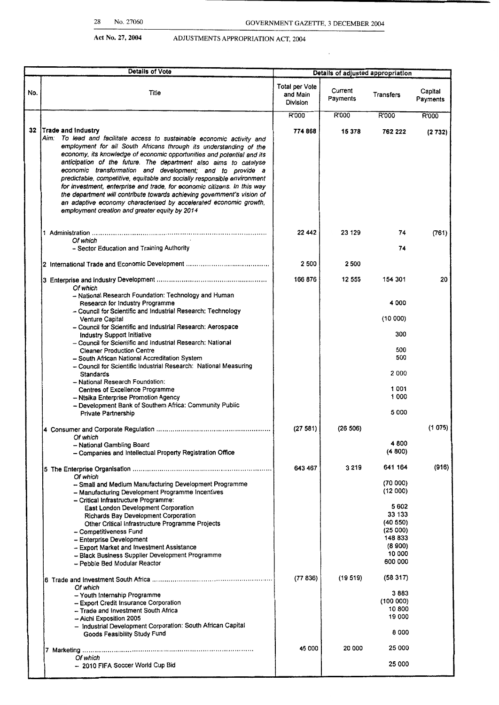$\sim$  .

|     | <b>Details of Vote</b>                                                                                                                                                                                                                                                                                                                                                                                                                                                                                                                                                                                                                                                                                                                      |                                        | Details of adjusted appropriation |                                                                                 |                     |  |
|-----|---------------------------------------------------------------------------------------------------------------------------------------------------------------------------------------------------------------------------------------------------------------------------------------------------------------------------------------------------------------------------------------------------------------------------------------------------------------------------------------------------------------------------------------------------------------------------------------------------------------------------------------------------------------------------------------------------------------------------------------------|----------------------------------------|-----------------------------------|---------------------------------------------------------------------------------|---------------------|--|
| No. | Title                                                                                                                                                                                                                                                                                                                                                                                                                                                                                                                                                                                                                                                                                                                                       | Total per Vote<br>and Main<br>Division | Current<br>Payments               | Transfers                                                                       | Capital<br>Payments |  |
|     |                                                                                                                                                                                                                                                                                                                                                                                                                                                                                                                                                                                                                                                                                                                                             | R'000                                  | R'000                             | R'000                                                                           | R'000               |  |
|     | 32 Trade and Industry<br>Aim: To lead and facilitate access to sustainable economic activity and<br>employment for all South Africans through its understanding of the<br>economy, its knowledge of economic opportunities and potential and its<br>anticipation of the future. The department also aims to catalyse<br>economic transformation and development; and to provide a<br>predictable, competitive, equitable and socially responsible environment<br>for investment, enterprise and trade, for economic citizens. In this way<br>the department will contribute towards achieving government's vision of<br>an adaptive economy characterised by accelerated economic growth,<br>employment creation and greater equity by 2014 | 774 868                                | 15 378                            | 762 222                                                                         | (2732)              |  |
|     | Of which<br>- Sector Education and Training Authority                                                                                                                                                                                                                                                                                                                                                                                                                                                                                                                                                                                                                                                                                       | 22 442                                 | 23 129                            | 74<br>74                                                                        | (761)               |  |
|     |                                                                                                                                                                                                                                                                                                                                                                                                                                                                                                                                                                                                                                                                                                                                             |                                        |                                   |                                                                                 |                     |  |
|     |                                                                                                                                                                                                                                                                                                                                                                                                                                                                                                                                                                                                                                                                                                                                             | 2 500                                  | 2 500                             |                                                                                 |                     |  |
|     | Of which<br>- National Research Foundation: Technology and Human                                                                                                                                                                                                                                                                                                                                                                                                                                                                                                                                                                                                                                                                            | 166 876                                | 12 555                            | 154 301                                                                         | 20                  |  |
|     | Research for Industry Programme                                                                                                                                                                                                                                                                                                                                                                                                                                                                                                                                                                                                                                                                                                             |                                        |                                   | 4 0 0 0                                                                         |                     |  |
|     | - Council for Scientific and Industrial Research: Technology<br><b>Venture Capital</b><br>- Council for Scientific and Industrial Research: Aerospace                                                                                                                                                                                                                                                                                                                                                                                                                                                                                                                                                                                       |                                        |                                   | (10000)                                                                         |                     |  |
|     | Industry Support Initiative<br>- Council for Scientific and Industrial Research: National                                                                                                                                                                                                                                                                                                                                                                                                                                                                                                                                                                                                                                                   |                                        |                                   | 300                                                                             |                     |  |
|     | <b>Cleaner Production Centre</b><br>- South African National Accreditation System                                                                                                                                                                                                                                                                                                                                                                                                                                                                                                                                                                                                                                                           |                                        |                                   | 500<br>500                                                                      |                     |  |
|     | - Council for Scientific Industrial Research: National Measuring<br><b>Standards</b><br>- National Research Foundation:                                                                                                                                                                                                                                                                                                                                                                                                                                                                                                                                                                                                                     |                                        |                                   | 2000                                                                            |                     |  |
|     | Centres of Excellence Programme<br>- Ntsika Enterprise Promotion Agency<br>- Development Bank of Southern Africa: Community Public                                                                                                                                                                                                                                                                                                                                                                                                                                                                                                                                                                                                          |                                        |                                   | 1 0 0 1<br>1 000                                                                |                     |  |
|     | Private Partnership                                                                                                                                                                                                                                                                                                                                                                                                                                                                                                                                                                                                                                                                                                                         |                                        |                                   | 5 000                                                                           |                     |  |
|     | Of which                                                                                                                                                                                                                                                                                                                                                                                                                                                                                                                                                                                                                                                                                                                                    | (27581)                                | (26 506)                          |                                                                                 | (1 075)             |  |
|     | - National Gambling Board<br>- Companies and Intellectual Property Registration Office                                                                                                                                                                                                                                                                                                                                                                                                                                                                                                                                                                                                                                                      |                                        |                                   | 4800<br>(4800)                                                                  |                     |  |
|     |                                                                                                                                                                                                                                                                                                                                                                                                                                                                                                                                                                                                                                                                                                                                             | 643 467                                | 3 2 1 9                           | 641 164                                                                         | (916)               |  |
|     | Of which<br>-- Small and Medium Manufacturing Development Programme<br>- Manufacturing Development Programme Incentives<br>- Critical Infrastructure Programme:                                                                                                                                                                                                                                                                                                                                                                                                                                                                                                                                                                             |                                        |                                   | (70000)<br>(12000)                                                              |                     |  |
|     | East London Development Corporation<br>Richards Bay Development Corporation<br>Other Critical Infrastructure Programme Projects<br>- Competitiveness Fund<br>- Enterprise Development<br>- Export Market and Investment Assistance<br>- Black Business Supplier Development Programme<br>- Pebble Bed Modular Reactor                                                                                                                                                                                                                                                                                                                                                                                                                       |                                        |                                   | 5602<br>33 133<br>(40 550)<br>(25000)<br>148 833<br>(8900)<br>10 000<br>600 000 |                     |  |
|     | Of which                                                                                                                                                                                                                                                                                                                                                                                                                                                                                                                                                                                                                                                                                                                                    | (77836)                                | (19.519)                          | (58317)                                                                         |                     |  |
|     | - Youth Internship Programme<br>- Export Credit Insurance Corporation<br>- Trade and Investment South Africa                                                                                                                                                                                                                                                                                                                                                                                                                                                                                                                                                                                                                                |                                        |                                   | 3 883<br>(100000)<br>10 800<br>19 000                                           |                     |  |
|     | - Aichi Exposition 2005<br>- Industrial Development Corporation: South African Capital<br>Goods Feasibility Study Fund                                                                                                                                                                                                                                                                                                                                                                                                                                                                                                                                                                                                                      |                                        |                                   | 8000                                                                            |                     |  |
|     |                                                                                                                                                                                                                                                                                                                                                                                                                                                                                                                                                                                                                                                                                                                                             | 45 000                                 | 20 000                            | 25 000                                                                          |                     |  |
|     | Of which<br>- 2010 FIFA Soccer World Cup Bid                                                                                                                                                                                                                                                                                                                                                                                                                                                                                                                                                                                                                                                                                                |                                        |                                   | 25 000                                                                          |                     |  |